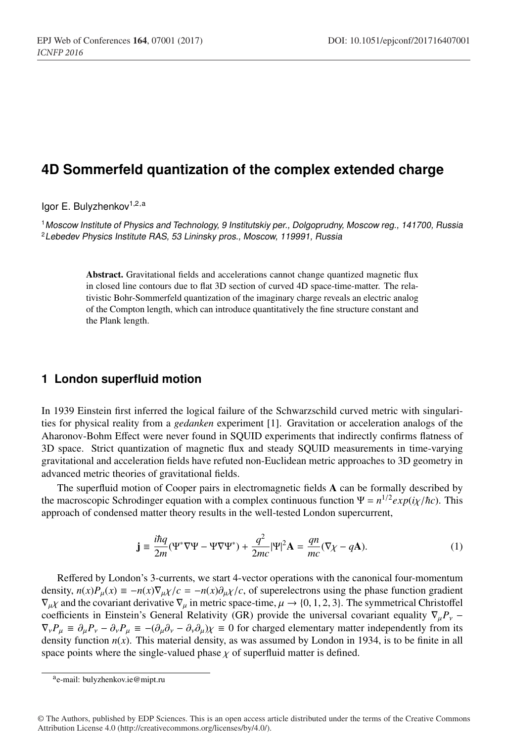# **4D Sommerfeld quantization of the complex extended charge**

Igor E. Bulyzhenkov<sup>1,2,a</sup>

<sup>1</sup>*Moscow Institute of Physics and Technology, 9 Institutskiy per., Dolgoprudny, Moscow reg., 141700, Russia* <sup>2</sup>*Lebedev Physics Institute RAS, 53 Lininsky pros., Moscow, 119991, Russia*

> Abstract. Gravitational fields and accelerations cannot change quantized magnetic flux in closed line contours due to flat 3D section of curved 4D space-time-matter. The relativistic Bohr-Sommerfeld quantization of the imaginary charge reveals an electric analog of the Compton length, which can introduce quantitatively the fine structure constant and the Plank length.

### **1 London superfluid motion**

In 1939 Einstein first inferred the logical failure of the Schwarzschild curved metric with singularities for physical reality from a *gedanken* experiment [1]. Gravitation or acceleration analogs of the Aharonov-Bohm Effect were never found in SQUID experiments that indirectly confirms flatness of 3D space. Strict quantization of magnetic flux and steady SQUID measurements in time-varying gravitational and acceleration fields have refuted non-Euclidean metric approaches to 3D geometry in advanced metric theories of gravitational fields.

The superfluid motion of Cooper pairs in electromagnetic fields A can be formally described by the macroscopic Schrodinger equation with a complex continuous function  $\Psi = n^{1/2} exp(i\chi/\hbar c)$ . This approach of condensed matter theory results in the well-tested London supercurrent,

$$
\mathbf{j} \equiv \frac{i\hbar q}{2m} (\Psi^* \nabla \Psi - \Psi \nabla \Psi^*) + \frac{q^2}{2mc} |\Psi|^2 \mathbf{A} = \frac{qn}{mc} (\nabla \chi - q\mathbf{A}).\tag{1}
$$

Reffered by London's 3-currents, we start 4-vector operations with the canonical four-momentum density,  $n(x)P_\mu(x) \equiv -n(x)\nabla_\mu x/c = -n(x)\partial_\mu x/c$ , of superelectrons using the phase function gradient  $\nabla_u\chi$  and the covariant derivative  $\nabla_u$  in metric space-time,  $\mu \to \{0, 1, 2, 3\}$ . The symmetrical Christoffel coefficients in Einstein's General Relativity (GR) provide the universal covariant equality  $\nabla_{\mu}P_{\nu}$  −  $\nabla_{\nu}P_{\mu} \equiv \partial_{\mu}P_{\nu} - \partial_{\nu}P_{\mu} \equiv -(\partial_{\mu}\partial_{\nu} - \partial_{\nu}\partial_{\mu})\chi \equiv 0$  for charged elementary matter independently from its density function  $n(x)$ . This material density, as was assumed by London in 1934, is to be finite in all space points where the single-valued phase  $\chi$  of superfluid matter is defined.

ae-mail: bulyzhenkov.ie@mipt.ru

<sup>©</sup> The Authors, published by EDP Sciences. This is an open access article distributed under the terms of the Creative Commons Attribution License 4.0 (http://creativecommons.org/licenses/by/4.0/).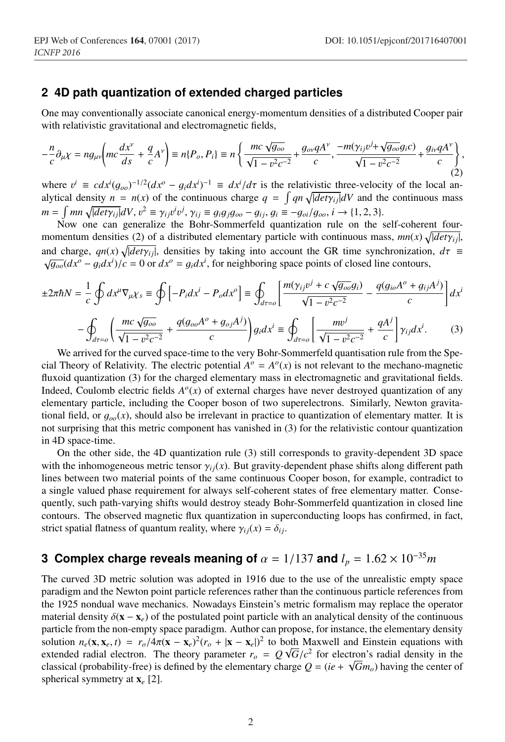#### **2 4D path quantization of extended charged particles**

One may conventionally associate canonical energy-momentum densities of a distributed Cooper pair with relativistic gravitational and electromagnetic fields,

eparator and conferences and conferences are the conferences of  $\mathcal{C}$ 

$$
-\frac{n}{c}\partial_{\mu}\chi = ng_{\mu\nu}\left(mc\frac{dx^{\nu}}{ds} + \frac{q}{c}A^{\nu}\right) \equiv n\{P_o, P_i\} \equiv n\left\{\frac{mc\sqrt{g_{oo}}}{\sqrt{1 - v^2c^{-2}}} + \frac{g_{ov}qA^{\nu}}{c}, \frac{-m(\gamma_{ij}v^j + \sqrt{g_{oo}}g_ic)}{\sqrt{1 - v^2c^{-2}}} + \frac{g_{iv}qA^{\nu}}{c}\right\},\tag{2}
$$

where  $v^i \equiv c dx^i (g_{oo})^{-1/2} (dx^o - g_i dx^i)^{-1} \equiv dx^i / d\tau$  is the relativistic three-velocity of the local analytical density  $n = n(x)$  of the continuous charge  $q = \int qn \sqrt{|det \gamma_{ij}|} dV$  and the continuous mass  $m = \int mn \sqrt{|det \gamma_{ij}|} dV, v^2 \equiv \gamma_{ij} v^i v^j, \gamma_{ij} \equiv g_i g_j g_{oo} - g_{ij}, g_i \equiv -g_{oi}/g_{oo}, i \rightarrow \{1, 2, 3\}.$ 

Now one can generalize the Bohr-Sommerfeld quantization rule on the self-coherent fourmomentum densities (2) of a distributed elementary particle with continuous mass,  $mn(x) \sqrt{|det \gamma_{ij}|}$ , and charge,  $qn(x) \sqrt{ }$ and charge,  $qn(x) \sqrt{|det\gamma_{ij}|}$ , densities by taking into account the GR time synchronization,  $d\tau \equiv \sqrt{g_{oo}}(dx^o - g_i dx^i)/c = 0$  or  $dx^o = g_i dx^i$ , for neighboring space points of closed line contours,

$$
\pm 2\pi\hbar N = \frac{1}{c} \oint dx^{\mu} \nabla_{\mu} \chi_{s} \equiv \oint \left[ -P_{i} dx^{i} - P_{o} dx^{o} \right] \equiv \oint_{d\tau = o} \left[ \frac{m(\gamma_{ij}v^{j} + c \sqrt{g_{oo}} g_{i})}{\sqrt{1 - v^{2} c^{-2}}} - \frac{q(g_{io} A^{o} + g_{ij} A^{j})}{c} \right] dx^{i}
$$

$$
-\oint_{d\tau=o}\left(\frac{mc\sqrt{g_{oo}}}{\sqrt{1-v^2c^{-2}}}+\frac{q(g_{oo}A^o+g_{oj}A^j)}{c}\right)g_i dx^i \equiv \oint_{d\tau=o}\left[\frac{mv^j}{\sqrt{1-v^2c^{-2}}}+\frac{qA^j}{c}\right]\gamma_{ij}dx^i.
$$
 (3)

We arrived for the curved space-time to the very Bohr-Sommerfeld quantisation rule from the Special Theory of Relativity. The electric potential  $A^{\circ} = A^{\circ}(x)$  is not relevant to the mechano-magnetic fluxoid quantization (3) for the charged elementary mass in electromagnetic and gravitational fields. Indeed, Coulomb electric fields  $A<sup>o</sup>(x)$  of external charges have never destroyed quantization of any elementary particle, including the Cooper boson of two superelectrons. Similarly, Newton gravitational field, or  $g_{oo}(x)$ , should also be irrelevant in practice to quantization of elementary matter. It is not surprising that this metric component has vanished in (3) for the relativistic contour quantization in 4D space-time.

On the other side, the 4D quantization rule (3) still corresponds to gravity-dependent 3D space with the inhomogeneous metric tensor  $\gamma_{ij}(x)$ . But gravity-dependent phase shifts along different path lines between two material points of the same continuous Cooper boson, for example, contradict to a single valued phase requirement for always self-coherent states of free elementary matter. Consequently, such path-varying shifts would destroy steady Bohr-Sommerfeld quantization in closed line contours. The observed magnetic flux quantization in superconducting loops has confirmed, in fact, strict spatial flatness of quantum reality, where  $\gamma_{ij}(x) = \delta_{ij}$ .

## **3 Complex charge reveals meaning of**  $\alpha = 1/137$  and  $l_p = 1.62 \times 10^{-35}$ *m*

The curved 3D metric solution was adopted in 1916 due to the use of the unrealistic empty space paradigm and the Newton point particle references rather than the continuous particle references from the 1925 nondual wave mechanics. Nowadays Einstein's metric formalism may replace the operator material density  $\delta(\mathbf{x} - \mathbf{x}_e)$  of the postulated point particle with an analytical density of the continuous particle from the non-empty space paradigm. Author can propose, for instance, the elementary density solution  $n_e(\mathbf{x}, \mathbf{x}_e, t) = r_o/4\pi(\mathbf{x} - \mathbf{x}_e)^2(r_o + |\mathbf{x} - \mathbf{x}_e|)^2$  to both Maxwell and Einstein equations with extended radial electron. The theory parameter  $r_o = Q \sqrt{G/c^2}$  for electron's radial density in the classical (probability-free) is defined by the elementary charge  $Q = (ie + \sqrt{Gm_0})$  having the center of spherical symmetry at x*<sup>e</sup>* [2].